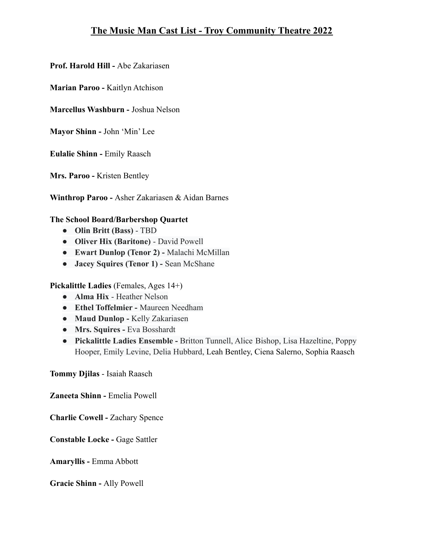## **The Music Man Cast List - Troy Community Theatre 2022**

**Prof. Harold Hill -** Abe Zakariasen

**Marian Paroo -** Kaitlyn Atchison

**Marcellus Washburn -** Joshua Nelson

**Mayor Shinn -** John 'Min' Lee

**Eulalie Shinn -** Emily Raasch

**Mrs. Paroo -** Kristen Bentley

**Winthrop Paroo -** Asher Zakariasen & Aidan Barnes

#### **The School Board/Barbershop Quartet**

- **Olin Britt (Bass)** TBD
- **● Oliver Hix (Baritone)** David Powell
- **● Ewart Dunlop (Tenor 2) -** Malachi McMillan
- **● Jacey Squires (Tenor 1) -** Sean McShane

**Pickalittle Ladies** (Females, Ages 14+)

- **Alma Hix** Heather Nelson
- **● Ethel Toffelmier -** Maureen Needham
- **● Maud Dunlop -** Kelly Zakariasen
- **● Mrs. Squires -** Eva Bosshardt
- **● Pickalittle Ladies Ensemble -** Britton Tunnell, Alice Bishop, Lisa Hazeltine, Poppy Hooper, Emily Levine, Delia Hubbard, Leah Bentley, Ciena Salerno, Sophia Raasch

**Tommy Djilas** - Isaiah Raasch

**Zaneeta Shinn -** Emelia Powell

**Charlie Cowell -** Zachary Spence

**Constable Locke -** Gage Sattler

**Amaryllis -** Emma Abbott

**Gracie Shinn -** Ally Powell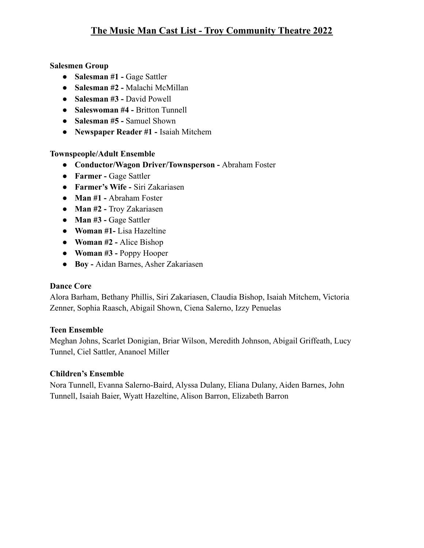### **Salesmen Group**

- **● Salesman #1 -** Gage Sattler
- **● Salesman #2 -** Malachi McMillan
- **● Salesman #3 -** David Powell
- **● Saleswoman #4 -** Britton Tunnell
- **● Salesman #5 -** Samuel Shown
- **● Newspaper Reader #1 -** Isaiah Mitchem

### **Townspeople/Adult Ensemble**

- **● Conductor/Wagon Driver/Townsperson -** Abraham Foster
- **● Farmer -** Gage Sattler
- **● Farmer's Wife -** Siri Zakariasen
- **● Man #1 -** Abraham Foster
- **● Man #2 -** Troy Zakariasen
- **● Man #3 -** Gage Sattler
- **● Woman #1-** Lisa Hazeltine
- **● Woman #2 -** Alice Bishop
- **● Woman #3 -** Poppy Hooper
- **● Boy -** Aidan Barnes, Asher Zakariasen

### **Dance Core**

Alora Barham, Bethany Phillis, Siri Zakariasen, Claudia Bishop, Isaiah Mitchem, Victoria Zenner, Sophia Raasch, Abigail Shown, Ciena Salerno, Izzy Penuelas

### **Teen Ensemble**

Meghan Johns, Scarlet Donigian, Briar Wilson, Meredith Johnson, Abigail Griffeath, Lucy Tunnel, Ciel Sattler, Ananoel Miller

### **Children's Ensemble**

Nora Tunnell, Evanna Salerno-Baird, Alyssa Dulany, Eliana Dulany, Aiden Barnes, John Tunnell, Isaiah Baier, Wyatt Hazeltine, Alison Barron, Elizabeth Barron